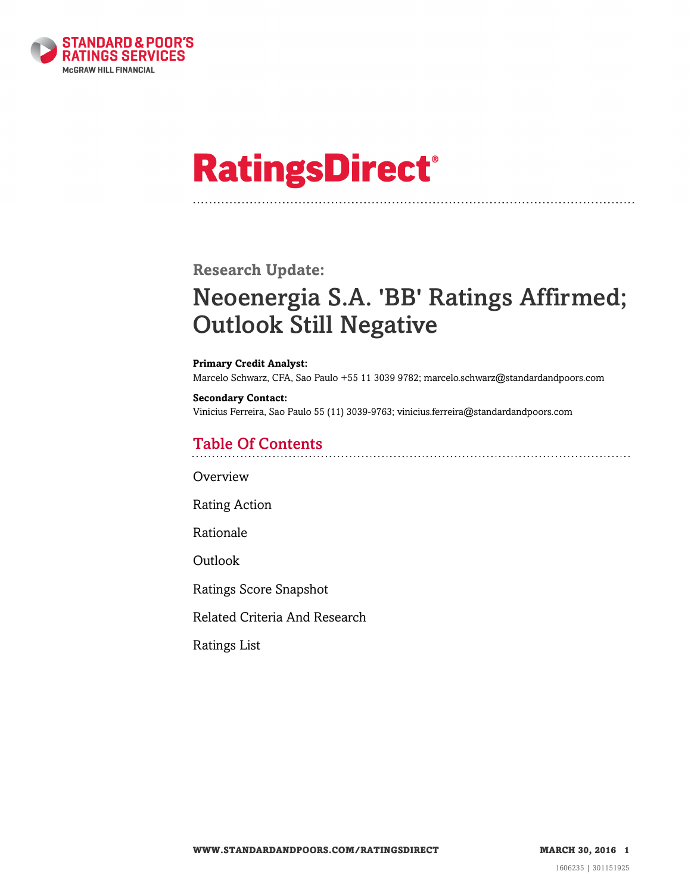

# **RatingsDirect®**

# **Research Update:**

# Neoenergia S.A. 'BB' Ratings Affirmed; Outlook Still Negative

#### **Primary Credit Analyst:**

Marcelo Schwarz, CFA, Sao Paulo +55 11 3039 9782; marcelo.schwarz@standardandpoors.com

#### **Secondary Contact:**

Vinicius Ferreira, Sao Paulo 55 (11) 3039-9763; vinicius.ferreira@standardandpoors.com

# Table Of Contents

**[Overview](#page-1-0)** 

[Rating Action](#page-1-1)

[Rationale](#page-1-2)

[Outlook](#page-3-0)

[Ratings Score Snapshot](#page-3-1)

[Related Criteria And Research](#page-4-0)

[Ratings List](#page-4-1)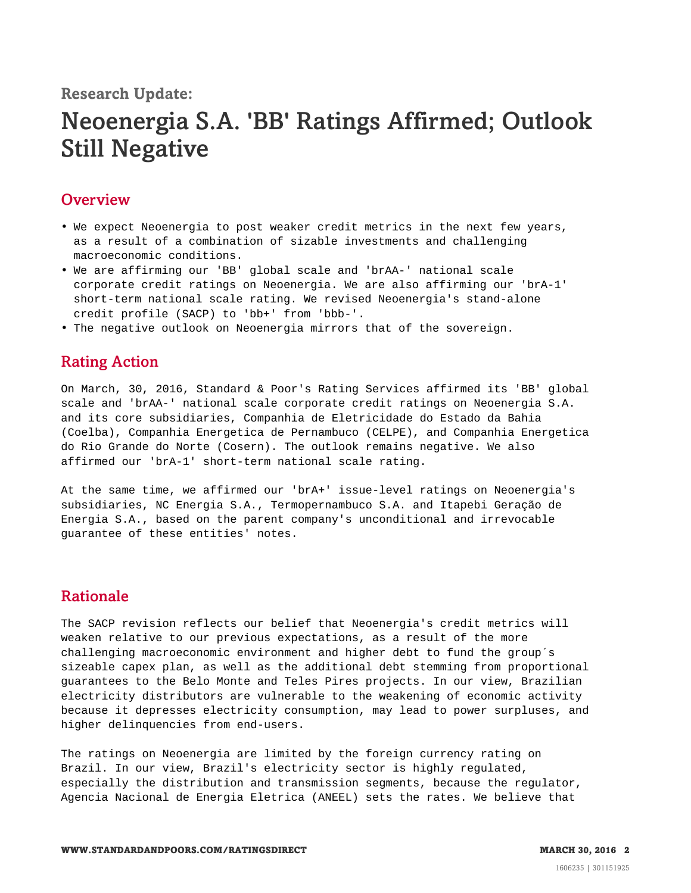#### **Research Update:**

# Neoenergia S.A. 'BB' Ratings Affirmed; Outlook Still Negative

#### <span id="page-1-0"></span>**Overview**

- We expect Neoenergia to post weaker credit metrics in the next few years, as a result of a combination of sizable investments and challenging macroeconomic conditions.
- We are affirming our 'BB' global scale and 'brAA-' national scale corporate credit ratings on Neoenergia. We are also affirming our 'brA-1' short-term national scale rating. We revised Neoenergia's stand-alone credit profile (SACP) to 'bb+' from 'bbb-'.
- <span id="page-1-1"></span>• The negative outlook on Neoenergia mirrors that of the sovereign.

### Rating Action

On March, 30, 2016, Standard & Poor's Rating Services affirmed its 'BB' global scale and 'brAA-' national scale corporate credit ratings on Neoenergia S.A. and its core subsidiaries, Companhia de Eletricidade do Estado da Bahia (Coelba), Companhia Energetica de Pernambuco (CELPE), and Companhia Energetica do Rio Grande do Norte (Cosern). The outlook remains negative. We also affirmed our 'brA-1' short-term national scale rating.

At the same time, we affirmed our 'brA+' issue-level ratings on Neoenergia's subsidiaries, NC Energia S.A., Termopernambuco S.A. and Itapebi Geração de Energia S.A., based on the parent company's unconditional and irrevocable guarantee of these entities' notes.

#### <span id="page-1-2"></span>Rationale

The SACP revision reflects our belief that Neoenergia's credit metrics will weaken relative to our previous expectations, as a result of the more challenging macroeconomic environment and higher debt to fund the group´s sizeable capex plan, as well as the additional debt stemming from proportional guarantees to the Belo Monte and Teles Pires projects. In our view, Brazilian electricity distributors are vulnerable to the weakening of economic activity because it depresses electricity consumption, may lead to power surpluses, and higher delinquencies from end-users.

The ratings on Neoenergia are limited by the foreign currency rating on Brazil. In our view, Brazil's electricity sector is highly regulated, especially the distribution and transmission segments, because the regulator, Agencia Nacional de Energia Eletrica (ANEEL) sets the rates. We believe that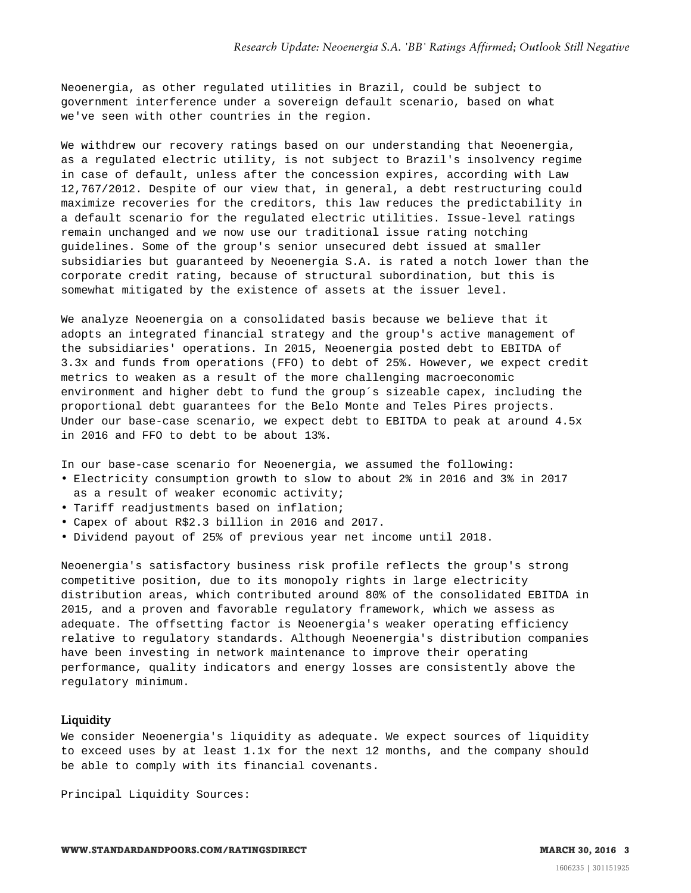Neoenergia, as other regulated utilities in Brazil, could be subject to government interference under a sovereign default scenario, based on what we've seen with other countries in the region.

We withdrew our recovery ratings based on our understanding that Neoenergia, as a regulated electric utility, is not subject to Brazil's insolvency regime in case of default, unless after the concession expires, according with Law 12,767/2012. Despite of our view that, in general, a debt restructuring could maximize recoveries for the creditors, this law reduces the predictability in a default scenario for the regulated electric utilities. Issue-level ratings remain unchanged and we now use our traditional issue rating notching guidelines. Some of the group's senior unsecured debt issued at smaller subsidiaries but guaranteed by Neoenergia S.A. is rated a notch lower than the corporate credit rating, because of structural subordination, but this is somewhat mitigated by the existence of assets at the issuer level.

We analyze Neoenergia on a consolidated basis because we believe that it adopts an integrated financial strategy and the group's active management of the subsidiaries' operations. In 2015, Neoenergia posted debt to EBITDA of 3.3x and funds from operations (FFO) to debt of 25%. However, we expect credit metrics to weaken as a result of the more challenging macroeconomic environment and higher debt to fund the group´s sizeable capex, including the proportional debt guarantees for the Belo Monte and Teles Pires projects. Under our base-case scenario, we expect debt to EBITDA to peak at around 4.5x in 2016 and FFO to debt to be about 13%.

In our base-case scenario for Neoenergia, we assumed the following:

- Electricity consumption growth to slow to about 2% in 2016 and 3% in 2017 as a result of weaker economic activity;
- Tariff readjustments based on inflation;
- Capex of about R\$2.3 billion in 2016 and 2017.
- Dividend payout of 25% of previous year net income until 2018.

Neoenergia's satisfactory business risk profile reflects the group's strong competitive position, due to its monopoly rights in large electricity distribution areas, which contributed around 80% of the consolidated EBITDA in 2015, and a proven and favorable regulatory framework, which we assess as adequate. The offsetting factor is Neoenergia's weaker operating efficiency relative to regulatory standards. Although Neoenergia's distribution companies have been investing in network maintenance to improve their operating performance, quality indicators and energy losses are consistently above the regulatory minimum.

#### Liquidity

We consider Neoenergia's liquidity as adequate. We expect sources of liquidity to exceed uses by at least 1.1x for the next 12 months, and the company should be able to comply with its financial covenants.

Principal Liquidity Sources: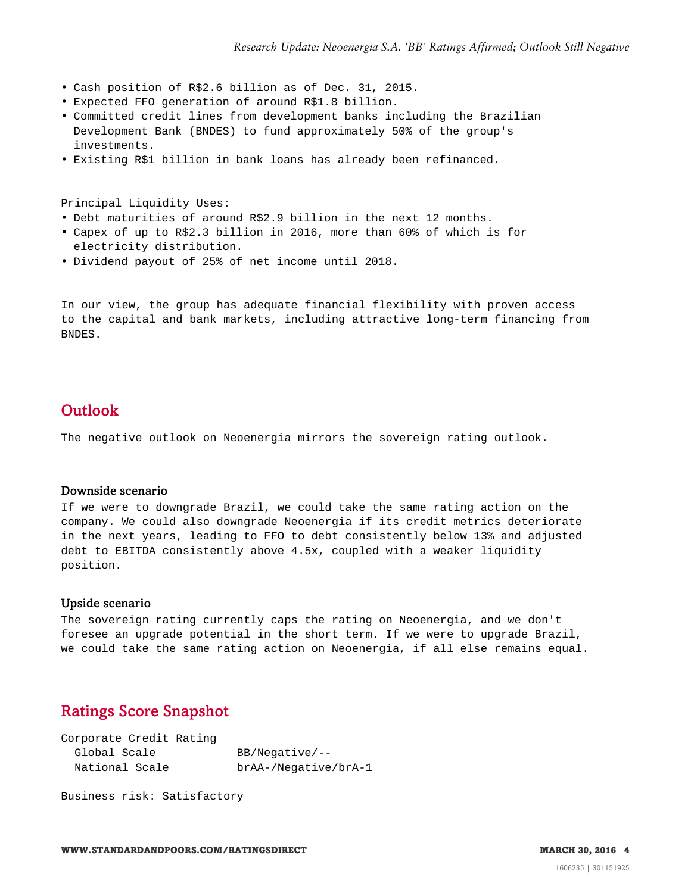- Cash position of R\$2.6 billion as of Dec. 31, 2015.
- Expected FFO generation of around R\$1.8 billion.
- Committed credit lines from development banks including the Brazilian Development Bank (BNDES) to fund approximately 50% of the group's investments.
- Existing R\$1 billion in bank loans has already been refinanced.

Principal Liquidity Uses:

- Debt maturities of around R\$2.9 billion in the next 12 months.
- Capex of up to R\$2.3 billion in 2016, more than 60% of which is for electricity distribution.
- Dividend payout of 25% of net income until 2018.

In our view, the group has adequate financial flexibility with proven access to the capital and bank markets, including attractive long-term financing from BNDES.

### <span id="page-3-0"></span>**Outlook**

The negative outlook on Neoenergia mirrors the sovereign rating outlook.

#### Downside scenario

If we were to downgrade Brazil, we could take the same rating action on the company. We could also downgrade Neoenergia if its credit metrics deteriorate in the next years, leading to FFO to debt consistently below 13% and adjusted debt to EBITDA consistently above 4.5x, coupled with a weaker liquidity position.

#### Upside scenario

The sovereign rating currently caps the rating on Neoenergia, and we don't foresee an upgrade potential in the short term. If we were to upgrade Brazil, we could take the same rating action on Neoenergia, if all else remains equal.

# <span id="page-3-1"></span>Ratings Score Snapshot

| $BB/Neqative/--$     |
|----------------------|
| brAA-/Negative/brA-1 |
|                      |

Business risk: Satisfactory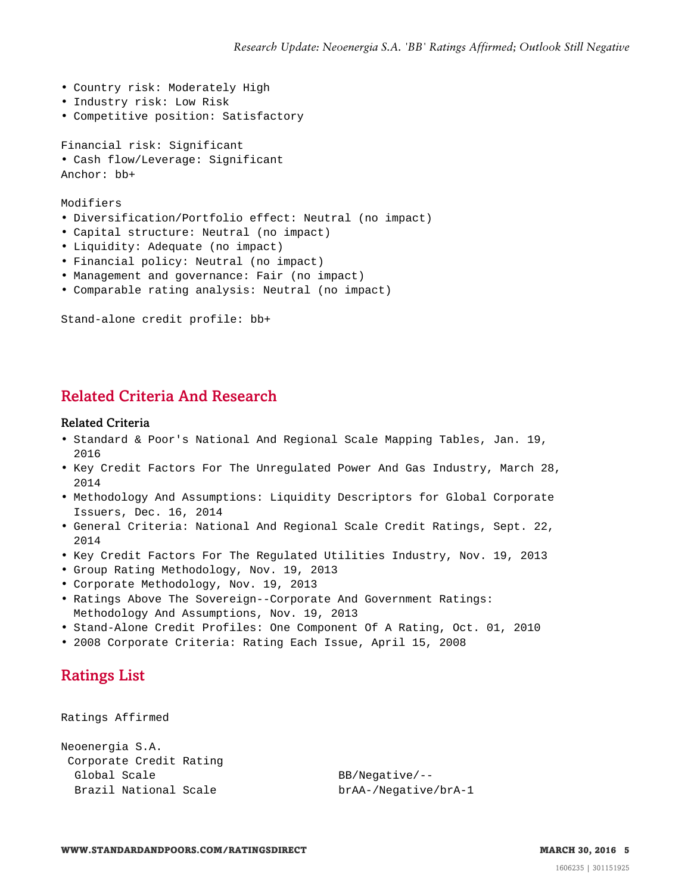- Country risk: Moderately High
- Industry risk: Low Risk
- Competitive position: Satisfactory

Financial risk: Significant

• Cash flow/Leverage: Significant Anchor: bb+

Modifiers

- Diversification/Portfolio effect: Neutral (no impact)
- Capital structure: Neutral (no impact)
- Liquidity: Adequate (no impact)
- Financial policy: Neutral (no impact)
- Management and governance: Fair (no impact)
- Comparable rating analysis: Neutral (no impact)

Stand-alone credit profile: bb+

# <span id="page-4-0"></span>Related Criteria And Research

#### Related Criteria

- Standard & Poor's National And Regional Scale Mapping Tables, Jan. 19, 2016
- Key Credit Factors For The Unregulated Power And Gas Industry, March 28, 2014
- Methodology And Assumptions: Liquidity Descriptors for Global Corporate Issuers, Dec. 16, 2014
- General Criteria: National And Regional Scale Credit Ratings, Sept. 22, 2014
- Key Credit Factors For The Regulated Utilities Industry, Nov. 19, 2013
- Group Rating Methodology, Nov. 19, 2013
- Corporate Methodology, Nov. 19, 2013
- Ratings Above The Sovereign--Corporate And Government Ratings: Methodology And Assumptions, Nov. 19, 2013
- Stand-Alone Credit Profiles: One Component Of A Rating, Oct. 01, 2010
- <span id="page-4-1"></span>• 2008 Corporate Criteria: Rating Each Issue, April 15, 2008

# Ratings List

Ratings Affirmed

```
Neoenergia S.A.
Corporate Credit Rating
 Global Scale BB/Negative/--
 Brazil National Scale brAA-/Negative/brA-1
```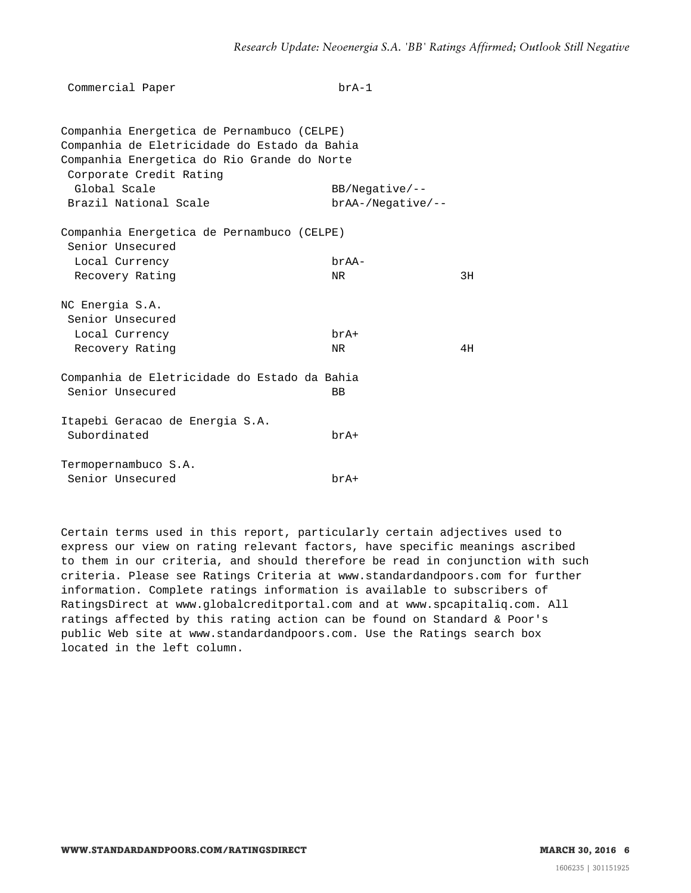| Commercial Paper                                                       | $brA-1$             |    |
|------------------------------------------------------------------------|---------------------|----|
| Companhia Energetica de Pernambuco (CELPE)                             |                     |    |
| Companhia de Eletricidade do Estado da Bahia                           |                     |    |
| Companhia Energetica do Rio Grande do Norte<br>Corporate Credit Rating |                     |    |
| Global Scale                                                           | $BB/Negative/-$     |    |
| Brazil National Scale                                                  | $brAA-/Neqative/--$ |    |
| Companhia Energetica de Pernambuco (CELPE)<br>Senior Unsecured         |                     |    |
| Local Currency                                                         | brAA-               |    |
| Recovery Rating                                                        | NR                  | 3H |
| NC Energia S.A.                                                        |                     |    |
| Senior Unsecured                                                       |                     |    |
| Local Currency                                                         | $brA+$              |    |
| Recovery Rating                                                        | NR.                 | 4H |
| Companhia de Eletricidade do Estado da Bahia                           |                     |    |
| Senior Unsecured                                                       | BB                  |    |
| Itapebi Geracao de Energia S.A.                                        |                     |    |
| Subordinated                                                           | $brA+$              |    |
| Termopernambuco S.A.                                                   |                     |    |
| Senior Unsecured                                                       | brA+                |    |

Certain terms used in this report, particularly certain adjectives used to express our view on rating relevant factors, have specific meanings ascribed to them in our criteria, and should therefore be read in conjunction with such criteria. Please see Ratings Criteria at www.standardandpoors.com for further information. Complete ratings information is available to subscribers of RatingsDirect at www.globalcreditportal.com and at www.spcapitaliq.com. All ratings affected by this rating action can be found on Standard & Poor's public Web site at www.standardandpoors.com. Use the Ratings search box located in the left column.